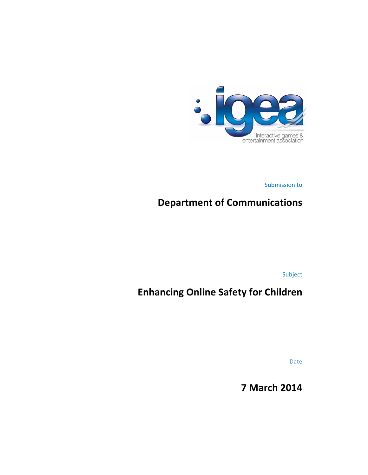

Submission to

# **Department of Communications**

Subject

# **Enhancing Online Safety for Children**

Date

**7)March)2014**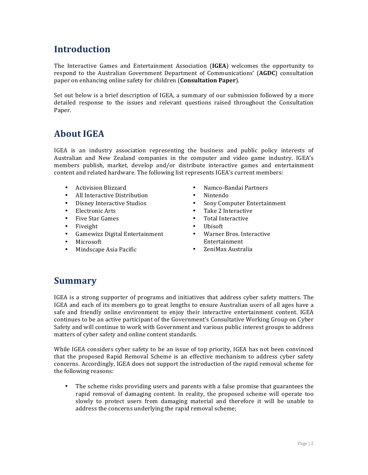## **Introduction**

The Interactive Games and Entertainment Association (IGEA) welcomes the opportunity to respond to the Australian Government Department of Communications' (**AGDC**) consultation paper on enhancing online safety for children (**Consultation Paper**).

Set out below is a brief description of IGEA, a summary of our submission followed by a more detailed response to the issues and relevant questions raised throughout the Consultation Paper.

## **About IGEA**

IGEA is an industry association representing the business and public policy interests of Australian and New Zealand companies in the computer and video game industry. IGEA's members publish, market, develop and/or distribute interactive games and entertainment content and related hardware. The following list represents IGEA's current members:

- Activision Blizzard
- All Interactive Distribution
- Disney Interactive Studios
- Electronic Arts
- Five!Star!Games
- Fiveight
- Gamewizz Digital Entertainment
- Microsoft
- Mindscape Asia Pacific
- Namco-Bandai Partners
- Nintendo
- Sony Computer Entertainment
- Take 2 Interactive
- Total Interactive
- Ubisoft
- Warner Bros. Interactive Entertainment
- ZeniMax Australia

### **Summary**

IGEA is a strong supporter of programs and initiatives that address cyber safety matters. The IGEA and each of its members go to great lengths to ensure Australian users of all ages have a safe and friendly online environment to enjoy their interactive entertainment content. IGEA continues to be an active participant of the Government's Consultative Working Group on Cyber Safety and will continue to work with Government and various public interest groups to address matters of cyber safety and online content standards.

While IGEA considers cyber safety to be an issue of top priority, IGEA has not been convinced that the proposed Rapid Removal Scheme is an effective mechanism to address cyber safety concerns. Accordingly, IGEA does not support the introduction of the rapid removal scheme for the following reasons:

• The scheme risks providing users and parents with a false promise that guarantees the rapid removal of damaging content. In reality, the proposed scheme will operate too slowly to protect users from damaging material and therefore it will be unable to address the concerns underlying the rapid removal scheme;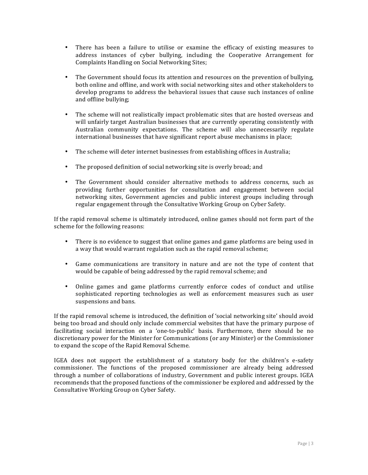- There has been a failure to utilise or examine the efficacy of existing measures to address instances of cyber bullying, including the Cooperative Arrangement for Complaints Handling on Social Networking Sites;
- The Government should focus its attention and resources on the prevention of bullying, both online and offline, and work with social networking sites and other stakeholders to develop programs to address the behavioral issues that cause such instances of online and offline bullying;
- The scheme will not realistically impact problematic sites that are hosted overseas and will unfairly target Australian businesses that are currently operating consistently with Australian community expectations. The scheme will also unnecessarily regulate international businesses that have significant report abuse mechanisms in place;
- The scheme will deter internet businesses from establishing offices in Australia;
- The proposed definition of social networking site is overly broad; and
- The Government should consider alternative methods to address concerns, such as providing further opportunities for consultation and engagement between social networking sites, Government agencies and public interest groups including through regular engagement through the Consultative Working Group on Cyber Safety.

If the rapid removal scheme is ultimately introduced, online games should not form part of the scheme for the following reasons:

- There is no evidence to suggest that online games and game platforms are being used in a way that would warrant regulation such as the rapid removal scheme;
- Game communications are transitory in nature and are not the type of content that would be capable of being addressed by the rapid removal scheme; and
- Online games and game platforms currently enforce codes of conduct and utilise sophisticated reporting technologies as well as enforcement measures such as user suspensions and bans.

If the rapid removal scheme is introduced, the definition of 'social networking site' should avoid being too broad and should only include commercial websites that have the primary purpose of facilitating social interaction on a 'one-to-public' basis. Furthermore, there should be no discretionary power for the Minister for Communications (or any Minister) or the Commissioner to expand the scope of the Rapid Removal Scheme.

IGEA does not support the establishment of a statutory body for the children's e-safety commissioner. The functions of the proposed commissioner are already being addressed through a number of collaborations of industry, Government and public interest groups. IGEA recommends that the proposed functions of the commissioner be explored and addressed by the Consultative Working Group on Cyber Safety.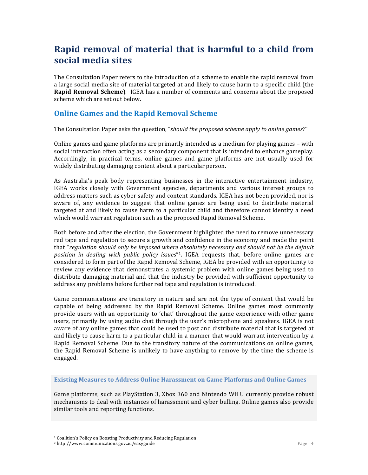## **Rapid removal of material that is harmful to a child from social\*media\*sites**

The Consultation Paper refers to the introduction of a scheme to enable the rapid removal from a large social media site of material targeted at and likely to cause harm to a specific child (the **Rapid Removal Scheme**). IGEA has a number of comments and concerns about the proposed scheme which are set out below.

#### **Online Games and the Rapid Removal Scheme**

The Consultation Paper asks the question, "*should the proposed scheme apply to online games?"* 

Online games and game platforms are primarily intended as a medium for playing games – with social interaction often acting as a secondary component that is intended to enhance gameplay. Accordingly, in practical terms, online games and game platforms are not usually used for widely distributing damaging content about a particular person.

As Australia's peak body representing businesses in the interactive entertainment industry, IGEA works closely with Government agencies, departments and various interest groups to address matters such as cyber safety and content standards. IGEA has not been provided, nor is aware of, any evidence to suggest that online games are being used to distribute material targeted at and likely to cause harm to a particular child and therefore cannot identify a need which would warrant regulation such as the proposed Rapid Removal Scheme.

Both before and after the election, the Government highlighted the need to remove unnecessary red tape and regulation to secure a growth and confidence in the economy and made the point that "regulation should only be imposed where absolutely necessary and should not be the default position in dealing with public policy issues<sup>"1</sup>. IGEA requests that, before online games are considered to form part of the Rapid Removal Scheme, IGEA be provided with an opportunity to review any evidence that demonstrates a systemic problem with online games being used to distribute damaging material and that the industry be provided with sufficient opportunity to address any problems before further red tape and regulation is introduced.

Game communications are transitory in nature and are not the type of content that would be capable of being addressed by the Rapid Removal Scheme. Online games most commonly provide users with an opportunity to 'chat' throughout the game experience with other game users, primarily by using audio chat through the user's microphone and speakers. IGEA is not aware of any online games that could be used to post and distribute material that is targeted at and likely to cause harm to a particular child in a manner that would warrant intervention by a Rapid Removal Scheme. Due to the transitory nature of the communications on online games, the Rapid Removal Scheme is unlikely to have anything to remove by the time the scheme is engaged.

**Existing Measures to Address Online Harassment on Game Platforms and Online Games** 

Game platforms, such as PlayStation 3, Xbox 360 and Nintendo Wii U currently provide robust mechanisms to deal with instances of harassment and cyber bulling. Online games also provide similar tools and reporting functions.

!!!!!!!!!!!!!!!!!!!!!!!!!!!!!!!!!!!!!!!!!!!!!!!!!!!!!!!!!!!!!!!!!

<sup>&</sup>lt;sup>1</sup> Coalition's Policy on Boosting Productivity and Reducing Regulation

<sup>2</sup> http://www.communications.gov.au/easyguide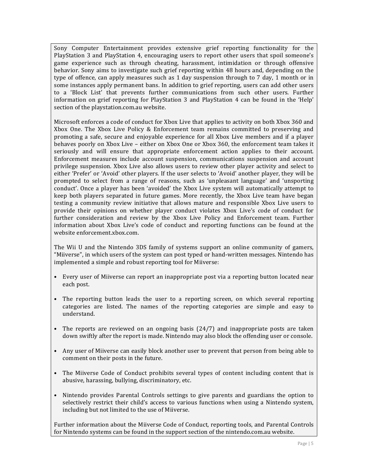Sony Computer Entertainment provides extensive grief reporting functionality for the PlayStation 3 and PlayStation 4, encouraging users to report other users that spoil someone's game experience such as through cheating, harassment, intimidation or through offensive behavior. Sony aims to investigate such grief reporting within 48 hours and, depending on the type of offence, can apply measures such as  $1$  day suspension through to  $7$  day,  $1$  month or in some instances apply permanent bans. In addition to grief reporting, users can add other users to a 'Block List' that prevents further communications from such other users. Further information on grief reporting for PlayStation 3 and PlayStation 4 can be found in the 'Help' section of the playstation.com.au website.

Microsoft enforces a code of conduct for Xbox Live that applies to activity on both Xbox 360 and Xbox One. The Xbox Live Policy & Enforcement team remains committed to preserving and promoting a safe, secure and enjoyable experience for all Xbox Live members and if a player behaves poorly on Xbox Live – either on Xbox One or Xbox 360, the enforcement team takes it seriously and will ensure that appropriate enforcement action applies to their account. Enforcement measures include account suspension, communications suspension and account privilege suspension. Xbox Live also allows users to review other player activity and select to either 'Prefer' or 'Avoid' other players. If the user selects to 'Avoid' another player, they will be prompted to select from a range of reasons, such as 'unpleasant language' and 'unsporting conduct'. Once a player has been 'avoided' the Xbox Live system will automatically attempt to keep both players separated in future games. More recently, the Xbox Live team have began testing a community review initiative that allows mature and responsible Xbox Live users to provide their opinions on whether player conduct violates Xbox Live's code of conduct for further consideration and review by the Xbox Live Policy and Enforcement team. Further information about Xbox Live's code of conduct and reporting functions can be found at the website enforcement.xbox.com.

The Wii U and the Nintendo 3DS family of systems support an online community of gamers, "Miiverse", in which users of the system can post typed or hand-written messages. Nintendo has implemented a simple and robust reporting tool for Miiverse:

- Every user of Miiverse can report an inappropriate post via a reporting button located near each post.
- The reporting button leads the user to a reporting screen, on which several reporting categories are listed. The names of the reporting categories are simple and easy to understand.
- The reports are reviewed on an ongoing basis  $(24/7)$  and inappropriate posts are taken down swiftly after the report is made. Nintendo may also block the offending user or console.
- Any user of Miiverse can easily block another user to prevent that person from being able to comment on their posts in the future.
- The Miiverse Code of Conduct prohibits several types of content including content that is abusive, harassing, bullying, discriminatory, etc.
- Nintendo provides Parental Controls settings to give parents and guardians the option to selectively restrict their child's access to various functions when using a Nintendo system, including but not limited to the use of Miiverse.

Further information about the Miiverse Code of Conduct, reporting tools, and Parental Controls for Nintendo systems can be found in the support section of the nintendo.com.au website.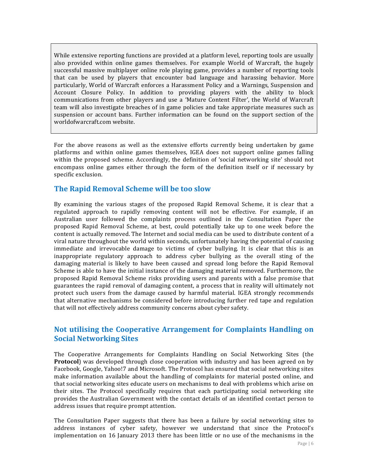While extensive reporting functions are provided at a platform level, reporting tools are usually also provided within online games themselves. For example World of Warcraft, the hugely successful massive multiplayer online role playing game, provides a number of reporting tools that can be used by players that encounter bad language and harassing behavior. More particularly, World of Warcraft enforces a Harassment Policy and a Warnings, Suspension and Account Closure Policy. In addition to providing players with the ability to block communications from other players and use a 'Mature Content Filter', the World of Warcraft team will also investigate breaches of in game policies and take appropriate measures such as suspension or account bans. Further information can be found on the support section of the worldofwarcraft.com website.

For the above reasons as well as the extensive efforts currently being undertaken by game platforms and within online games themselves, IGEA does not support online games falling within the proposed scheme. Accordingly, the definition of 'social networking site' should not encompass online games either through the form of the definition itself or if necessary by specific exclusion.

#### **The Rapid Removal Scheme will be too slow**

By examining the various stages of the proposed Rapid Removal Scheme, it is clear that a regulated approach to rapidly removing content will not be effective. For example, if an Australian user followed the complaints process outlined in the Consultation Paper the proposed Rapid Removal Scheme, at best, could potentially take up to one week before the content is actually removed. The Internet and social media can be used to distribute content of a viral nature throughout the world within seconds, unfortunately having the potential of causing immediate and irrevocable damage to victims of cyber bullying. It is clear that this is an inappropriate regulatory approach to address cyber bullying as the overall sting of the damaging material is likely to have been caused and spread long before the Rapid Removal Scheme is able to have the initial instance of the damaging material removed. Furthermore, the proposed Rapid Removal Scheme risks providing users and parents with a false promise that guarantees the rapid removal of damaging content, a process that in reality will ultimately not protect such users from the damage caused by harmful material. IGEA strongly recommends that alternative mechanisms be considered before introducing further red tape and regulation that will not effectively address community concerns about cyber safety.

#### Not utilising the Cooperative Arrangement for Complaints Handling on **Social Networking Sites**

The Cooperative Arrangements for Complaints Handling on Social Networking Sites (the **Protocol**) was developed through close cooperation with industry and has been agreed on by Facebook, Google, Yahoo!7 and Microsoft. The Protocol has ensured that social networking sites make information available about the handling of complaints for material posted online, and that social networking sites educate users on mechanisms to deal with problems which arise on their sites. The Protocol specifically requires that each participating social networking site provides the Australian Government with the contact details of an identified contact person to address issues that require prompt attention.

The Consultation Paper suggests that there has been a failure by social networking sites to address instances of cyber safety, however we understand that since the Protocol's implementation on 16 January 2013 there has been little or no use of the mechanisms in the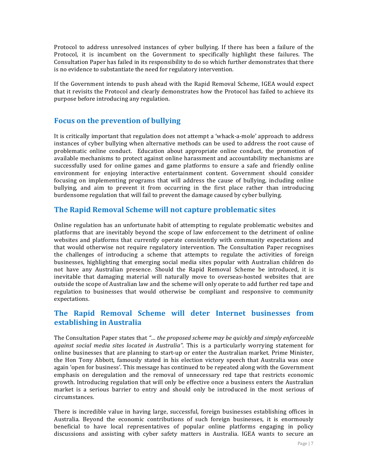Protocol to address unresolved instances of cyber bullying. If there has been a failure of the Protocol, it is incumbent on the Government to specifically highlight these failures. The Consultation Paper has failed in its responsibility to do so which further demonstrates that there is no evidence to substantiate the need for regulatory intervention.

If the Government intends to push ahead with the Rapid Removal Scheme, IGEA would expect that it revisits the Protocol and clearly demonstrates how the Protocol has failed to achieve its purpose before introducing any regulation.

#### **Focus on the prevention of bullying**

It is critically important that regulation does not attempt a 'whack-a-mole' approach to address instances of cyber bullying when alternative methods can be used to address the root cause of problematic online conduct. Education about appropriate online conduct, the promotion of available mechanisms to protect against online harassment and accountability mechanisms are successfully used for online games and game platforms to ensure a safe and friendly online environment for enjoying interactive entertainment content. Government should consider focusing on implementing programs that will address the cause of bullying, including online bullying, and aim to prevent it from occurring in the first place rather than introducing burdensome regulation that will fail to prevent the damage caused by cyber bullying.

#### The Rapid Removal Scheme will not capture problematic sites

Online regulation has an unfortunate habit of attempting to regulate problematic websites and platforms that are inevitably beyond the scope of law enforcement to the detriment of online websites and platforms that currently operate consistently with community expectations and that would otherwise not require regulatory intervention. The Consultation Paper recognises the challenges of introducing a scheme that attempts to regulate the activities of foreign businesses, highlighting that emerging social media sites popular with Australian children do not have any Australian presence. Should the Rapid Removal Scheme be introduced, it is inevitable that damaging material will naturally move to overseas-hosted websites that are outside the scope of Australian law and the scheme will only operate to add further red tape and regulation to businesses that would otherwise be compliant and responsive to community expectations.

#### **The Rapid Removal Scheme will deter Internet businesses from establishing in Australia**

The Consultation Paper states that "... the proposed scheme may be quickly and simply enforceable *against social media sites located in Australia"*. This is a particularly worrying statement for online businesses that are planning to start-up or enter the Australian market. Prime Minister, the Hon Tony Abbott, famously stated in his election victory speech that Australia was once again 'open for business'. This message has continued to be repeated along with the Government emphasis on deregulation and the removal of unnecessary red tape that restricts economic growth. Introducing regulation that will only be effective once a business enters the Australian market is a serious barrier to entry and should only be introduced in the most serious of circumstances.!

There is incredible value in having large, successful, foreign businesses establishing offices in Australia. Beyond the economic contributions of such foreign businesses, it is enormously beneficial to have local representatives of popular online platforms engaging in policy discussions and assisting with cyber safety matters in Australia. IGEA wants to secure an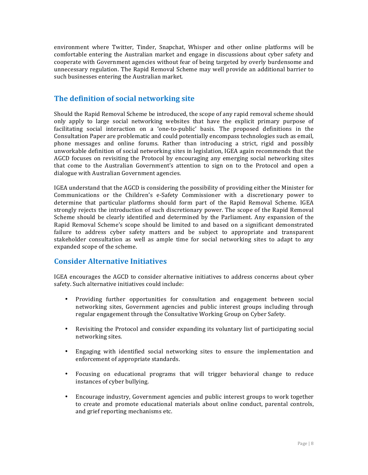environment where Twitter, Tinder, Snapchat, Whisper and other online platforms will be comfortable entering the Australian market and engage in discussions about cyber safety and cooperate with Government agencies without fear of being targeted by overly burdensome and unnecessary regulation. The Rapid Removal Scheme may well provide an additional barrier to such businesses entering the Australian market.

#### **The definition of social networking site**

Should the Rapid Removal Scheme be introduced, the scope of any rapid removal scheme should only apply to large social networking websites that have the explicit primary purpose of facilitating social interaction on a 'one-to-public' basis. The proposed definitions in the Consultation Paper are problematic and could potentially encompass technologies such as email, phone messages and online forums. Rather than introducing a strict, rigid and possibly unworkable definition of social networking sites in legislation, IGEA again recommends that the AGCD focuses on revisiting the Protocol by encouraging any emerging social networking sites that come to the Australian Government's attention to sign on to the Protocol and open a dialogue with Australian Government agencies.

IGEA understand that the AGCD is considering the possibility of providing either the Minister for Communications or the Children's e-Safety Commissioner with a discretionary power to determine that particular platforms should form part of the Rapid Removal Scheme. IGEA strongly rejects the introduction of such discretionary power. The scope of the Rapid Removal Scheme should be clearly identified and determined by the Parliament. Any expansion of the Rapid Removal Scheme's scope should be limited to and based on a significant demonstrated failure to address cyber safety matters and be subject to appropriate and transparent stakeholder consultation as well as ample time for social networking sites to adapt to any expanded scope of the scheme.

#### **Consider\*Alternative\*Initiatives**

IGEA encourages the AGCD to consider alternative initiatives to address concerns about cyber safety. Such alternative initiatives could include:

- Providing further opportunities for consultation and engagement between social networking sites, Government agencies and public interest groups including through regular engagement through the Consultative Working Group on Cyber Safety.
- Revisiting the Protocol and consider expanding its voluntary list of participating social networking sites.
- Engaging with identified social networking sites to ensure the implementation and enforcement of appropriate standards.
- Focusing on educational programs that will trigger behavioral change to reduce instances of cyber bullying.
- Encourage industry, Government agencies and public interest groups to work together to create and promote educational materials about online conduct, parental controls, and grief reporting mechanisms etc.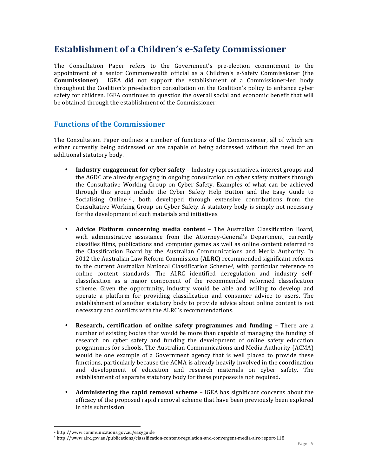### **Establishment of a Children's e-Safety Commissioner**

The Consultation Paper refers to the Government's pre-election commitment to the appointment of a senior Commonwealth official as a Children's e-Safety Commissioner (the **Commissioner**). IGEA did not support the establishment of a Commissioner-led body throughout the Coalition's pre-election consultation on the Coalition's policy to enhance cyber safety for children. IGEA continues to question the overall social and economic benefit that will be obtained through the establishment of the Commissioner.

#### **Functions of the Commissioner**

The Consultation Paper outlines a number of functions of the Commissioner, all of which are either currently being addressed or are capable of being addressed without the need for an additional statutory body.

- **Industry engagement for cyber safety** Industry representatives, interest groups and the AGDC are already engaging in ongoing consultation on cyber safety matters through the Consultative Working Group on Cyber Safety. Examples of what can be achieved through this group include the Cyber Safety Help Button and the Easy Guide to Socialising Online  $2$ , both developed through extensive contributions from the Consultative Working Group on Cyber Safety. A statutory body is simply not necessary for the development of such materials and initiatives.
- **Advice Platform concerning media content** The Australian Classification Board, with administrative assistance from the Attorney-General's Department, currently classifies films, publications and computer games as well as online content referred to the Classification Board by the Australian Communications and Media Authority. In 2012 the Australian Law Reform Commission (**ALRC**) recommended significant reforms to the current Australian National Classification Scheme<sup>3</sup>, with particular reference to online content standards. The ALRC identified deregulation and industry selfclassification as a major component of the recommended reformed classification scheme. Given the opportunity, industry would be able and willing to develop and operate a platform for providing classification and consumer advice to users. The establishment of another statutory body to provide advice about online content is not necessary and conflicts with the ALRC's recommendations.
- **Research, certification of online safety programmes and funding** There are a number of existing bodies that would be more than capable of managing the funding of research on cyber safety and funding the development of online safety education programmes for schools. The Australian Communications and Media Authority (ACMA) would be one example of a Government agency that is well placed to provide these functions, particularly because the ACMA is already heavily involved in the coordination and development of education and research materials on cyber safety. The establishment of separate statutory body for these purposes is not required.
- **Administering the rapid removal scheme** IGEA has significant concerns about the efficacy of the proposed rapid removal scheme that have been previously been explored in this submission.

!!!!!!!!!!!!!!!!!!!!!!!!!!!!!!!!!!!!!!!!!!!!!!!!!!!!!!!!!!!!!!!!!

<sup>2</sup> http://www.communications.gov.au/easyguide

<sup>&</sup>lt;sup>3</sup> http://www.alrc.gov.au/publications/classification-content-regulation-and-convergent-media-alrc-report-118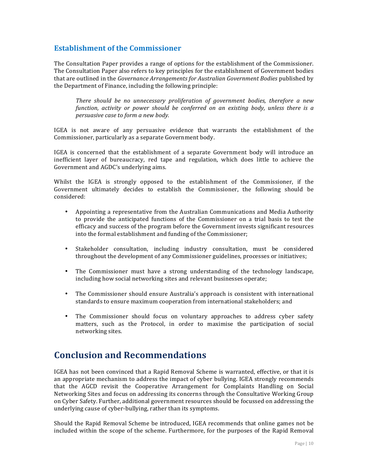#### **Establishment of the Commissioner**

The Consultation Paper provides a range of options for the establishment of the Commissioner. The Consultation Paper also refers to key principles for the establishment of Government bodies that are outlined in the *Governance Arrangements for Australian Government Bodies* published by the Department of Finance, including the following principle:

*There' should' be' no' unnecessary' proliferation' of' government' bodies,' therefore' a' new' function,' activity' or' power' should' be' conferred' on' an' existing' body,' unless' there' is' a' persuasive'case'to'form'a'new'body.'*

IGEA is not aware of any persuasive evidence that warrants the establishment of the Commissioner, particularly as a separate Government body.

IGEA is concerned that the establishment of a separate Government body will introduce an inefficient layer of bureaucracy, red tape and regulation, which does little to achieve the Government and AGDC's underlying aims.

Whilst the IGEA is strongly opposed to the establishment of the Commissioner, if the Government ultimately decides to establish the Commissioner, the following should be considered:

- Appointing a representative from the Australian Communications and Media Authority to provide the anticipated functions of the Commissioner on a trial basis to test the efficacy and success of the program before the Government invests significant resources into the formal establishment and funding of the Commissioner;
- Stakeholder consultation, including industry consultation, must be considered throughout the development of any Commissioner guidelines, processes or initiatives;
- The Commissioner must have a strong understanding of the technology landscape, including how social networking sites and relevant businesses operate;
- The Commissioner should ensure Australia's approach is consistent with international standards to ensure maximum cooperation from international stakeholders; and
- The Commissioner should focus on voluntary approaches to address cyber safety matters, such as the Protocol, in order to maximise the participation of social networking sites.

### **Conclusion and Recommendations**

IGEA has not been convinced that a Rapid Removal Scheme is warranted, effective, or that it is an appropriate mechanism to address the impact of cyber bullying. IGEA strongly recommends that the AGCD revisit the Cooperative Arrangement for Complaints Handling on Social Networking Sites and focus on addressing its concerns through the Consultative Working Group on Cyber Safety. Further, additional government resources should be focussed on addressing the underlying cause of cyber-bullying, rather than its symptoms.

Should the Rapid Removal Scheme be introduced, IGEA recommends that online games not be included within the scope of the scheme. Furthermore, for the purposes of the Rapid Removal